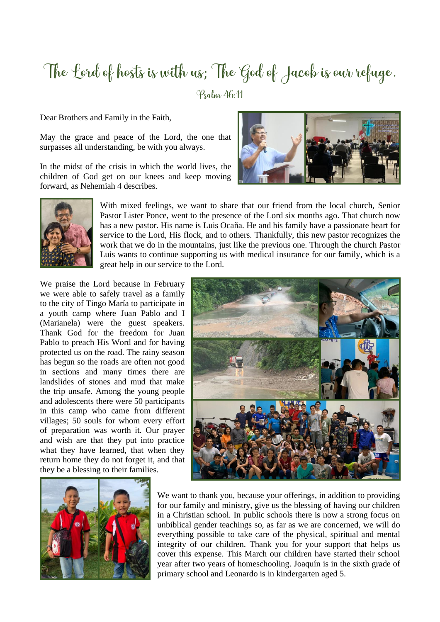## The Lord of hosts is with us; The God of Jacob is our refuge.

Psalm 46:11

Dear Brothers and Family in the Faith,

May the grace and peace of the Lord, the one that surpasses all understanding, be with you always.

In the midst of the crisis in which the world lives, the children of God get on our knees and keep moving forward, as Nehemiah 4 describes.





With mixed feelings, we want to share that our friend from the local church, Senior Pastor Lister Ponce, went to the presence of the Lord six months ago. That church now has a new pastor. His name is Luis Ocaña. He and his family have a passionate heart for service to the Lord, His flock, and to others. Thankfully, this new pastor recognizes the work that we do in the mountains, just like the previous one. Through the church Pastor Luis wants to continue supporting us with medical insurance for our family, which is a great help in our service to the Lord.

We praise the Lord because in February we were able to safely travel as a family to the city of Tingo María to participate in a youth camp where Juan Pablo and I (Marianela) were the guest speakers. Thank God for the freedom for Juan Pablo to preach His Word and for having protected us on the road. The rainy season has begun so the roads are often not good in sections and many times there are landslides of stones and mud that make the trip unsafe. Among the young people and adolescents there were 50 participants in this camp who came from different villages; 50 souls for whom every effort of preparation was worth it. Our prayer and wish are that they put into practice what they have learned, that when they return home they do not forget it, and that they be a blessing to their families.





We want to thank you, because your offerings, in addition to providing for our family and ministry, give us the blessing of having our children in a Christian school. In public schools there is now a strong focus on unbiblical gender teachings so, as far as we are concerned, we will do everything possible to take care of the physical, spiritual and mental integrity of our children. Thank you for your support that helps us cover this expense. This March our children have started their school year after two years of homeschooling. Joaquín is in the sixth grade of primary school and Leonardo is in kindergarten aged 5.